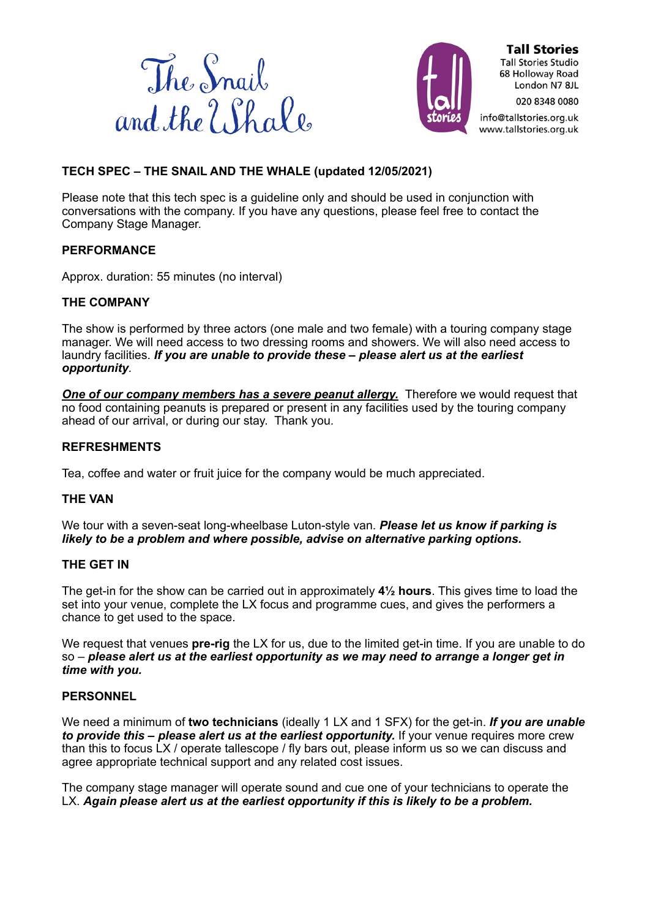



**Tall Stories Tall Stories Studio** 68 Holloway Road London N7 8JL 020 8348 0080

info@tallstories.org.uk www.tallstories.org.uk

# **TECH SPEC – THE SNAIL AND THE WHALE (updated 12/05/2021)**

Please note that this tech spec is a guideline only and should be used in conjunction with conversations with the company. If you have any questions, please feel free to contact the Company Stage Manager.

## **PERFORMANCE**

Approx. duration: 55 minutes (no interval)

## **THE COMPANY**

The show is performed by three actors (one male and two female) with a touring company stage manager. We will need access to two dressing rooms and showers. We will also need access to laundry facilities. *If you are unable to provide these – please alert us at the earliest opportunity.* 

**One of our company members has a severe peanut allergy.** Therefore we would request that no food containing peanuts is prepared or present in any facilities used by the touring company ahead of our arrival, or during our stay. Thank you.

#### **REFRESHMENTS**

Tea, coffee and water or fruit juice for the company would be much appreciated.

## **THE VAN**

We tour with a seven-seat long-wheelbase Luton-style van. *Please let us know if parking is likely to be a problem and where possible, advise on alternative parking options.*

## **THE GET IN**

The get-in for the show can be carried out in approximately **4½ hours**. This gives time to load the set into your venue, complete the LX focus and programme cues, and gives the performers a chance to get used to the space.

We request that venues **pre-rig** the LX for us, due to the limited get-in time. If you are unable to do so – *please alert us at the earliest opportunity as we may need to arrange a longer get in time with you.*

## **PERSONNEL**

We need a minimum of **two technicians** (ideally 1 LX and 1 SFX) for the get-in. *If you are unable to provide this – please alert us at the earliest opportunity.* **If your venue requires more crew** than this to focus LX / operate tallescope / fly bars out, please inform us so we can discuss and agree appropriate technical support and any related cost issues.

The company stage manager will operate sound and cue one of your technicians to operate the LX. *Again please alert us at the earliest opportunity if this is likely to be a problem.*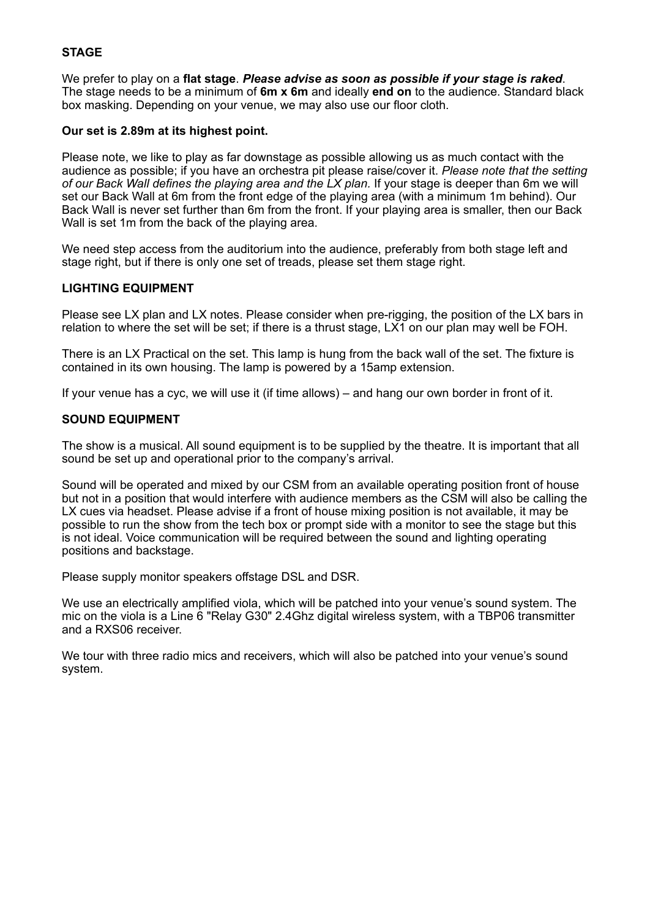# **STAGE**

We prefer to play on a **flat stage**. *Please advise as soon as possible if your stage is raked*. The stage needs to be a minimum of **6m x 6m** and ideally **end on** to the audience. Standard black box masking. Depending on your venue, we may also use our floor cloth.

#### **Our set is 2.89m at its highest point.**

Please note, we like to play as far downstage as possible allowing us as much contact with the audience as possible; if you have an orchestra pit please raise/cover it. *Please note that the setting of our Back Wall defines the playing area and the LX plan.* If your stage is deeper than 6m we will set our Back Wall at 6m from the front edge of the playing area (with a minimum 1m behind). Our Back Wall is never set further than 6m from the front. If your playing area is smaller, then our Back Wall is set 1m from the back of the playing area.

We need step access from the auditorium into the audience, preferably from both stage left and stage right, but if there is only one set of treads, please set them stage right.

#### **LIGHTING EQUIPMENT**

Please see LX plan and LX notes. Please consider when pre-rigging, the position of the LX bars in relation to where the set will be set; if there is a thrust stage, LX1 on our plan may well be FOH.

There is an LX Practical on the set. This lamp is hung from the back wall of the set. The fixture is contained in its own housing. The lamp is powered by a 15amp extension.

If your venue has a cyc, we will use it (if time allows) – and hang our own border in front of it.

#### **SOUND EQUIPMENT**

The show is a musical. All sound equipment is to be supplied by the theatre. It is important that all sound be set up and operational prior to the company's arrival.

Sound will be operated and mixed by our CSM from an available operating position front of house but not in a position that would interfere with audience members as the CSM will also be calling the LX cues via headset. Please advise if a front of house mixing position is not available, it may be possible to run the show from the tech box or prompt side with a monitor to see the stage but this is not ideal. Voice communication will be required between the sound and lighting operating positions and backstage.

Please supply monitor speakers offstage DSL and DSR.

We use an electrically amplified viola, which will be patched into your venue's sound system. The mic on the viola is a Line 6 "Relay G30" 2.4Ghz digital wireless system, with a TBP06 transmitter and a RXS06 receiver.

We tour with three radio mics and receivers, which will also be patched into your venue's sound system.